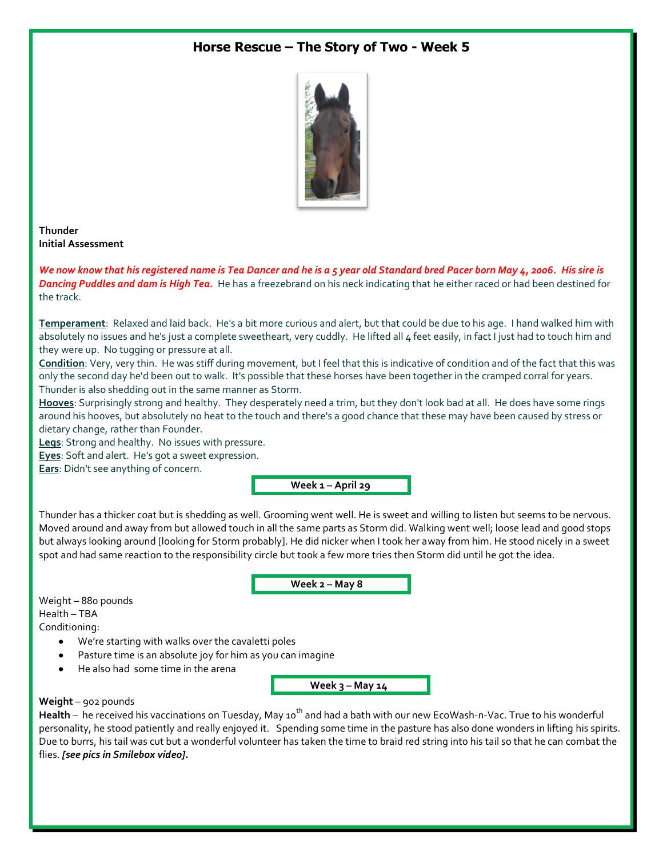# **Horse Rescue – The Story of Two - Week 5**



## **Thunder Initial Assessment**

*We now know that his registered name is Tea Dancer and he is a 5 year old Standard bred Pacer born May 4, 2006. His sire is Dancing Puddles and dam is High Tea.* He has a freezebrand on his neck indicating that he either raced or had been destined for the track.

**Temperament**: Relaxed and laid back. He's a bit more curious and alert, but that could be due to his age. I hand walked him with absolutely no issues and he's just a complete sweetheart, very cuddly. He lifted all 4 feet easily, in fact I just had to touch him and they were up. No tugging or pressure at all.

**Condition**: Very, very thin. He was stiff during movement, but I feel that this is indicative of condition and of the fact that this was only the second day he'd been out to walk. It's possible that these horses have been together in the cramped corral for years. Thunder is also shedding out in the same manner as Storm.

**Hooves**: Surprisingly strong and healthy. They desperately need a trim, but they don't look bad at all. He does have some rings around his hooves, but absolutely no heat to the touch and there's a good chance that these may have been caused by stress or dietary change, rather than Founder.

**Legs**: Strong and healthy. No issues with pressure.

**Eyes**: Soft and alert. He's got a sweet expression.

**Ears**: Didn't see anything of concern.

**Week 1 – April 29**

Thunder has a thicker coat but is shedding as well. Grooming went well. He is sweet and willing to listen but seems to be nervous. Moved around and away from but allowed touch in all the same parts as Storm did. Walking went well; loose lead and good stops but always looking around [looking for Storm probably]. He did nicker when I took her away from him. He stood nicely in a sweet spot and had same reaction to the responsibility circle but took a few more tries then Storm did until he got the idea.

**Week 2 – May 8**

Weight – 880 pounds Health – TBA Conditioning:

- We're starting with walks over the cavaletti poles
- Pasture time is an absolute joy for him as you can imagine
- He also had some time in the arena

**Week 3 – May 14**

### **Weight** – 902 pounds

Health – he received his vaccinations on Tuesday, May 10<sup>th</sup> and had a bath with our new EcoWash-n-Vac. True to his wonderful personality, he stood patiently and really enjoyed it. Spending some time in the pasture has also done wonders in lifting his spirits. Due to burrs, his tail was cut but a wonderful volunteer has taken the time to braid red string into his tail so that he can combat the flies. *[see pics in Smilebox video].*